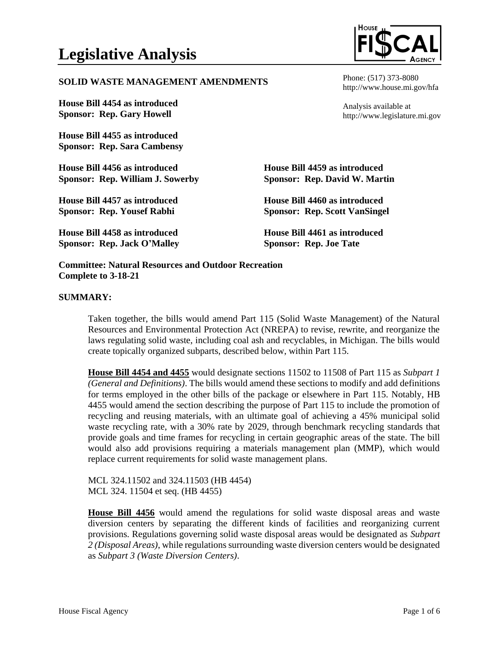## **SOLID WASTE MANAGEMENT AMENDMENTS**

**House Bill 4454 as introduced Sponsor: Rep. Gary Howell**

**House Bill 4455 as introduced Sponsor: Rep. Sara Cambensy**

**House Bill 4456 as introduced Sponsor: Rep. William J. Sowerby**

**House Bill 4457 as introduced Sponsor: Rep. Yousef Rabhi**

**House Bill 4458 as introduced Sponsor: Rep. Jack O'Malley**

Phone: (517) 373-8080 http://www.house.mi.gov/hfa

Analysis available at http://www.legislature.mi.gov

**House Bill 4459 as introduced Sponsor: Rep. David W. Martin**

**House Bill 4460 as introduced Sponsor: Rep. Scott VanSingel**

**House Bill 4461 as introduced Sponsor: Rep. Joe Tate**

**Committee: Natural Resources and Outdoor Recreation Complete to 3-18-21**

## **SUMMARY:**

Taken together, the bills would amend Part 115 (Solid Waste Management) of the Natural Resources and Environmental Protection Act (NREPA) to revise, rewrite, and reorganize the laws regulating solid waste, including coal ash and recyclables, in Michigan. The bills would create topically organized subparts, described below, within Part 115.

**House Bill 4454 and 4455** would designate sections 11502 to 11508 of Part 115 as *Subpart 1 (General and Definitions)*. The bills would amend these sections to modify and add definitions for terms employed in the other bills of the package or elsewhere in Part 115. Notably, HB 4455 would amend the section describing the purpose of Part 115 to include the promotion of recycling and reusing materials, with an ultimate goal of achieving a 45% municipal solid waste recycling rate, with a 30% rate by 2029, through benchmark recycling standards that provide goals and time frames for recycling in certain geographic areas of the state. The bill would also add provisions requiring a materials management plan (MMP), which would replace current requirements for solid waste management plans.

MCL 324.11502 and 324.11503 (HB 4454) MCL 324. 11504 et seq. (HB 4455)

**House Bill 4456** would amend the regulations for solid waste disposal areas and waste diversion centers by separating the different kinds of facilities and reorganizing current provisions. Regulations governing solid waste disposal areas would be designated as *Subpart 2 (Disposal Areas)*, while regulations surrounding waste diversion centers would be designated as *Subpart 3 (Waste Diversion Centers)*.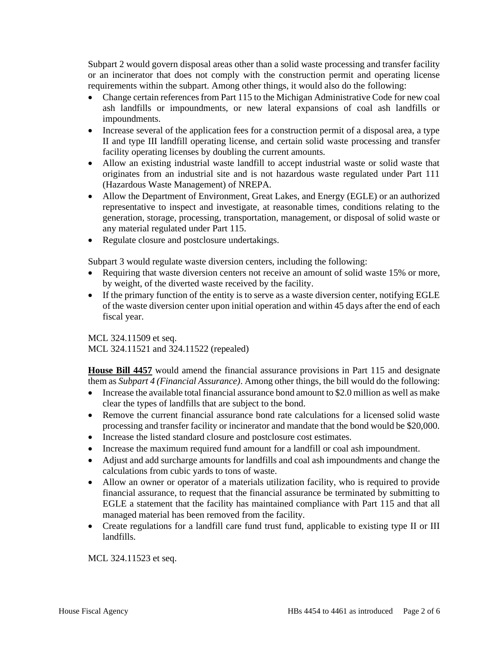Subpart 2 would govern disposal areas other than a solid waste processing and transfer facility or an incinerator that does not comply with the construction permit and operating license requirements within the subpart. Among other things, it would also do the following:

- Change certain references from Part 115 to the Michigan Administrative Code for new coal ash landfills or impoundments, or new lateral expansions of coal ash landfills or impoundments.
- Increase several of the application fees for a construction permit of a disposal area, a type II and type III landfill operating license, and certain solid waste processing and transfer facility operating licenses by doubling the current amounts.
- Allow an existing industrial waste landfill to accept industrial waste or solid waste that originates from an industrial site and is not hazardous waste regulated under Part 111 (Hazardous Waste Management) of NREPA.
- Allow the Department of Environment, Great Lakes, and Energy (EGLE) or an authorized representative to inspect and investigate, at reasonable times, conditions relating to the generation, storage, processing, transportation, management, or disposal of solid waste or any material regulated under Part 115.
- Regulate closure and postclosure undertakings.

Subpart 3 would regulate waste diversion centers, including the following:

- Requiring that waste diversion centers not receive an amount of solid waste 15% or more, by weight, of the diverted waste received by the facility.
- If the primary function of the entity is to serve as a waste diversion center, notifying EGLE of the waste diversion center upon initial operation and within 45 days after the end of each fiscal year.

MCL 324.11509 et seq. MCL 324.11521 and 324.11522 (repealed)

**House Bill 4457** would amend the financial assurance provisions in Part 115 and designate them as *Subpart 4 (Financial Assurance)*. Among other things, the bill would do the following:

- Increase the available total financial assurance bond amount to \$2.0 million as well as make clear the types of landfills that are subject to the bond.
- Remove the current financial assurance bond rate calculations for a licensed solid waste processing and transfer facility or incinerator and mandate that the bond would be \$20,000.
- Increase the listed standard closure and postclosure cost estimates.
- Increase the maximum required fund amount for a landfill or coal ash impoundment.
- Adjust and add surcharge amounts for landfills and coal ash impoundments and change the calculations from cubic yards to tons of waste.
- Allow an owner or operator of a materials utilization facility, who is required to provide financial assurance, to request that the financial assurance be terminated by submitting to EGLE a statement that the facility has maintained compliance with Part 115 and that all managed material has been removed from the facility.
- Create regulations for a landfill care fund trust fund, applicable to existing type II or III landfills.

MCL 324.11523 et seq.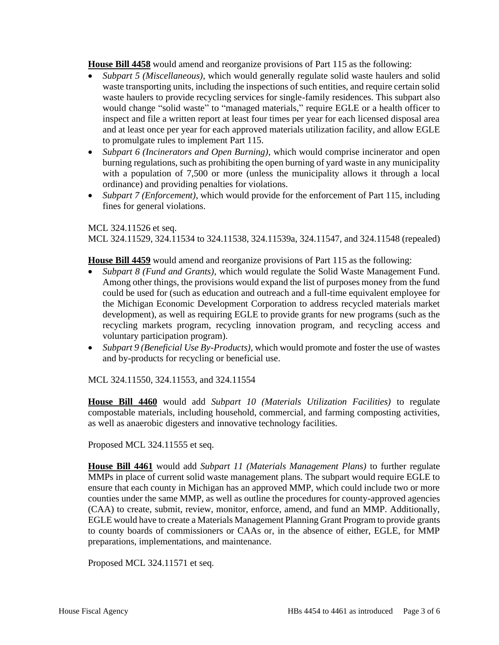**House Bill 4458** would amend and reorganize provisions of Part 115 as the following:

- *Subpart 5 (Miscellaneous)*, which would generally regulate solid waste haulers and solid waste transporting units, including the inspections of such entities, and require certain solid waste haulers to provide recycling services for single-family residences. This subpart also would change "solid waste" to "managed materials," require EGLE or a health officer to inspect and file a written report at least four times per year for each licensed disposal area and at least once per year for each approved materials utilization facility, and allow EGLE to promulgate rules to implement Part 115.
- *Subpart 6 (Incinerators and Open Burning)*, which would comprise incinerator and open burning regulations, such as prohibiting the open burning of yard waste in any municipality with a population of 7,500 or more (unless the municipality allows it through a local ordinance) and providing penalties for violations.
- *Subpart 7 (Enforcement)*, which would provide for the enforcement of Part 115, including fines for general violations.

## MCL 324.11526 et seq. MCL 324.11529, 324.11534 to 324.11538, 324.11539a, 324.11547, and 324.11548 (repealed)

**House Bill 4459** would amend and reorganize provisions of Part 115 as the following:

- *Subpart 8 (Fund and Grants)*, which would regulate the Solid Waste Management Fund. Among other things, the provisions would expand the list of purposes money from the fund could be used for (such as education and outreach and a full-time equivalent employee for the Michigan Economic Development Corporation to address recycled materials market development), as well as requiring EGLE to provide grants for new programs (such as the recycling markets program, recycling innovation program, and recycling access and voluntary participation program).
- *Subpart 9 (Beneficial Use By-Products)*, which would promote and foster the use of wastes and by-products for recycling or beneficial use.

MCL 324.11550, 324.11553, and 324.11554

**House Bill 4460** would add *Subpart 10 (Materials Utilization Facilities)* to regulate compostable materials, including household, commercial, and farming composting activities, as well as anaerobic digesters and innovative technology facilities.

Proposed MCL 324.11555 et seq.

**House Bill 4461** would add *Subpart 11 (Materials Management Plans)* to further regulate MMPs in place of current solid waste management plans. The subpart would require EGLE to ensure that each county in Michigan has an approved MMP, which could include two or more counties under the same MMP, as well as outline the procedures for county-approved agencies (CAA) to create, submit, review, monitor, enforce, amend, and fund an MMP. Additionally, EGLE would have to create a Materials Management Planning Grant Program to provide grants to county boards of commissioners or CAAs or, in the absence of either, EGLE, for MMP preparations, implementations, and maintenance.

Proposed MCL 324.11571 et seq.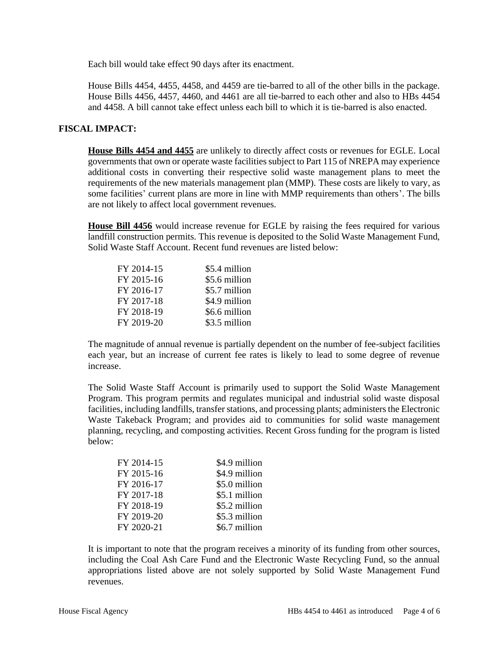Each bill would take effect 90 days after its enactment.

House Bills 4454, 4455, 4458, and 4459 are tie-barred to all of the other bills in the package. House Bills 4456, 4457, 4460, and 4461 are all tie-barred to each other and also to HBs 4454 and 4458. A bill cannot take effect unless each bill to which it is tie-barred is also enacted.

## **FISCAL IMPACT:**

**House Bills 4454 and 4455** are unlikely to directly affect costs or revenues for EGLE. Local governments that own or operate waste facilities subject to Part 115 of NREPA may experience additional costs in converting their respective solid waste management plans to meet the requirements of the new materials management plan (MMP). These costs are likely to vary, as some facilities' current plans are more in line with MMP requirements than others'. The bills are not likely to affect local government revenues.

**House Bill 4456** would increase revenue for EGLE by raising the fees required for various landfill construction permits. This revenue is deposited to the Solid Waste Management Fund, Solid Waste Staff Account. Recent fund revenues are listed below:

| FY 2014-15 | \$5.4 million |
|------------|---------------|
| FY 2015-16 | \$5.6 million |
| FY 2016-17 | \$5.7 million |
| FY 2017-18 | \$4.9 million |
| FY 2018-19 | \$6.6 million |
| FY 2019-20 | \$3.5 million |

The magnitude of annual revenue is partially dependent on the number of fee-subject facilities each year, but an increase of current fee rates is likely to lead to some degree of revenue increase.

The Solid Waste Staff Account is primarily used to support the Solid Waste Management Program. This program permits and regulates municipal and industrial solid waste disposal facilities, including landfills, transfer stations, and processing plants; administers the Electronic Waste Takeback Program; and provides aid to communities for solid waste management planning, recycling, and composting activities. Recent Gross funding for the program is listed below:

| FY 2014-15 | \$4.9 million |
|------------|---------------|
| FY 2015-16 | \$4.9 million |
| FY 2016-17 | \$5.0 million |
| FY 2017-18 | \$5.1 million |
| FY 2018-19 | \$5.2 million |
| FY 2019-20 | \$5.3 million |
| FY 2020-21 | \$6.7 million |

It is important to note that the program receives a minority of its funding from other sources, including the Coal Ash Care Fund and the Electronic Waste Recycling Fund, so the annual appropriations listed above are not solely supported by Solid Waste Management Fund revenues.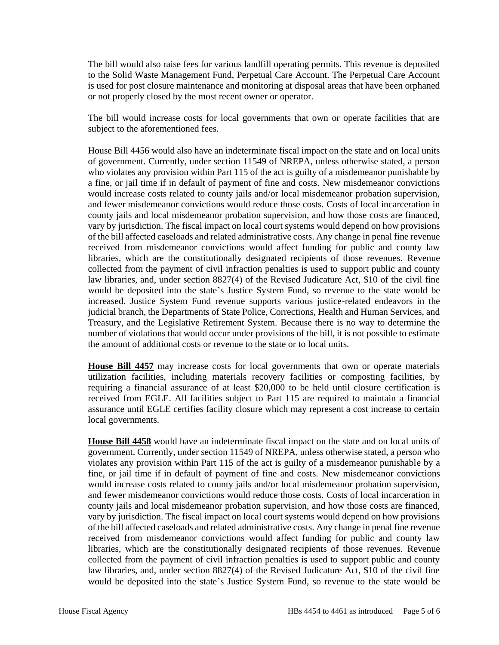The bill would also raise fees for various landfill operating permits. This revenue is deposited to the Solid Waste Management Fund, Perpetual Care Account. The Perpetual Care Account is used for post closure maintenance and monitoring at disposal areas that have been orphaned or not properly closed by the most recent owner or operator.

The bill would increase costs for local governments that own or operate facilities that are subject to the aforementioned fees.

House Bill 4456 would also have an indeterminate fiscal impact on the state and on local units of government. Currently, under section 11549 of NREPA, unless otherwise stated, a person who violates any provision within Part 115 of the act is guilty of a misdemeanor punishable by a fine, or jail time if in default of payment of fine and costs. New misdemeanor convictions would increase costs related to county jails and/or local misdemeanor probation supervision, and fewer misdemeanor convictions would reduce those costs. Costs of local incarceration in county jails and local misdemeanor probation supervision, and how those costs are financed, vary by jurisdiction. The fiscal impact on local court systems would depend on how provisions of the bill affected caseloads and related administrative costs. Any change in penal fine revenue received from misdemeanor convictions would affect funding for public and county law libraries, which are the constitutionally designated recipients of those revenues. Revenue collected from the payment of civil infraction penalties is used to support public and county law libraries, and, under section 8827(4) of the Revised Judicature Act, \$10 of the civil fine would be deposited into the state's Justice System Fund, so revenue to the state would be increased. Justice System Fund revenue supports various justice-related endeavors in the judicial branch, the Departments of State Police, Corrections, Health and Human Services, and Treasury, and the Legislative Retirement System. Because there is no way to determine the number of violations that would occur under provisions of the bill, it is not possible to estimate the amount of additional costs or revenue to the state or to local units.

**House Bill 4457** may increase costs for local governments that own or operate materials utilization facilities, including materials recovery facilities or composting facilities, by requiring a financial assurance of at least \$20,000 to be held until closure certification is received from EGLE. All facilities subject to Part 115 are required to maintain a financial assurance until EGLE certifies facility closure which may represent a cost increase to certain local governments.

**House Bill 4458** would have an indeterminate fiscal impact on the state and on local units of government. Currently, under section 11549 of NREPA, unless otherwise stated, a person who violates any provision within Part 115 of the act is guilty of a misdemeanor punishable by a fine, or jail time if in default of payment of fine and costs. New misdemeanor convictions would increase costs related to county jails and/or local misdemeanor probation supervision, and fewer misdemeanor convictions would reduce those costs. Costs of local incarceration in county jails and local misdemeanor probation supervision, and how those costs are financed, vary by jurisdiction. The fiscal impact on local court systems would depend on how provisions of the bill affected caseloads and related administrative costs. Any change in penal fine revenue received from misdemeanor convictions would affect funding for public and county law libraries, which are the constitutionally designated recipients of those revenues. Revenue collected from the payment of civil infraction penalties is used to support public and county law libraries, and, under section 8827(4) of the Revised Judicature Act, \$10 of the civil fine would be deposited into the state's Justice System Fund, so revenue to the state would be